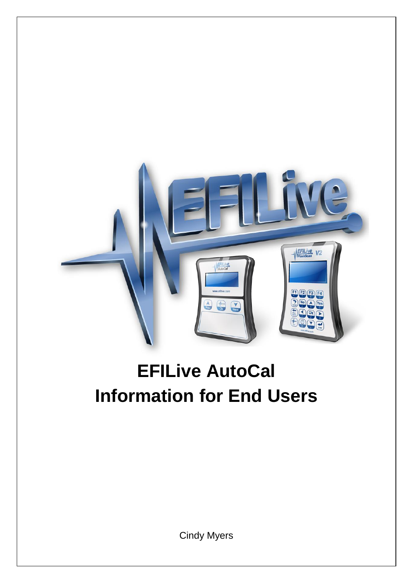

# **EFILive AutoCal Information for End Users**

Cindy Myers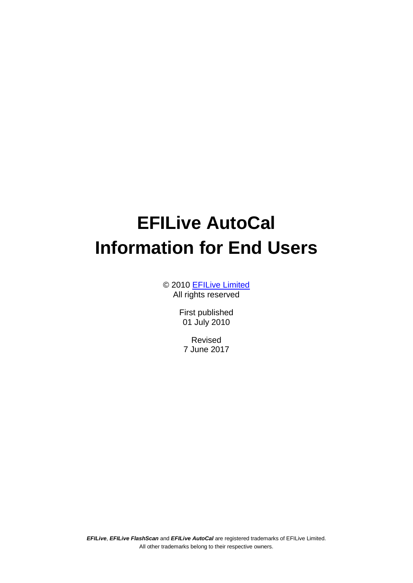# **EFILive AutoCal Information for End Users**

© 2010 [EFILive Limited](http://www.efilive.com/) All rights reserved

> First published 01 July 2010

Revised 7 June 2017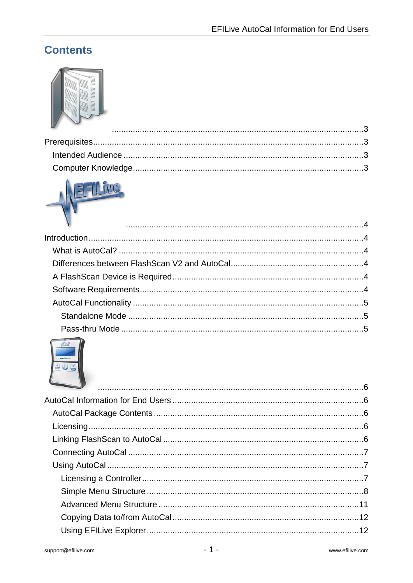# **Contents**





| $\mathbf{v}$ , and $\mathbf{v}$ , and $\mathbf{v}$ , and $\mathbf{v}$ , and $\mathbf{v}$ , and $\mathbf{v}$ , and $\mathbf{v}$ , and $\mathbf{v}$ , and $\mathbf{v}$ , and $\mathbf{v}$ , and $\mathbf{v}$ , and $\mathbf{v}$ , and $\mathbf{v}$ , and $\mathbf{v}$ , and $\mathbf{v}$ , |  |
|------------------------------------------------------------------------------------------------------------------------------------------------------------------------------------------------------------------------------------------------------------------------------------------|--|
|                                                                                                                                                                                                                                                                                          |  |
|                                                                                                                                                                                                                                                                                          |  |
|                                                                                                                                                                                                                                                                                          |  |
|                                                                                                                                                                                                                                                                                          |  |
|                                                                                                                                                                                                                                                                                          |  |
|                                                                                                                                                                                                                                                                                          |  |
|                                                                                                                                                                                                                                                                                          |  |
|                                                                                                                                                                                                                                                                                          |  |
|                                                                                                                                                                                                                                                                                          |  |

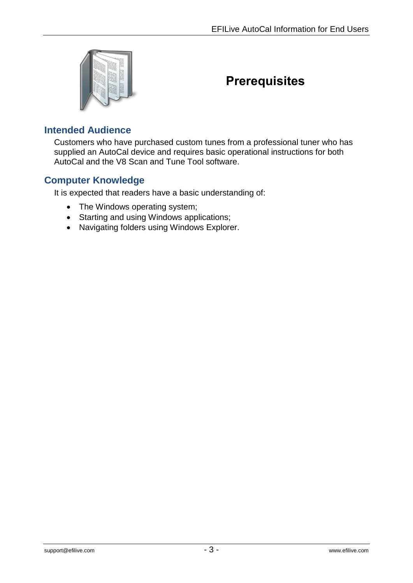<span id="page-4-0"></span>

# <span id="page-4-1"></span>**Prerequisites**

### <span id="page-4-2"></span>**Intended Audience**

Customers who have purchased custom tunes from a professional tuner who has supplied an AutoCal device and requires basic operational instructions for both AutoCal and the V8 Scan and Tune Tool software.

#### <span id="page-4-3"></span>**Computer Knowledge**

It is expected that readers have a basic understanding of:

- The Windows operating system;
- Starting and using Windows applications;
- Navigating folders using Windows Explorer.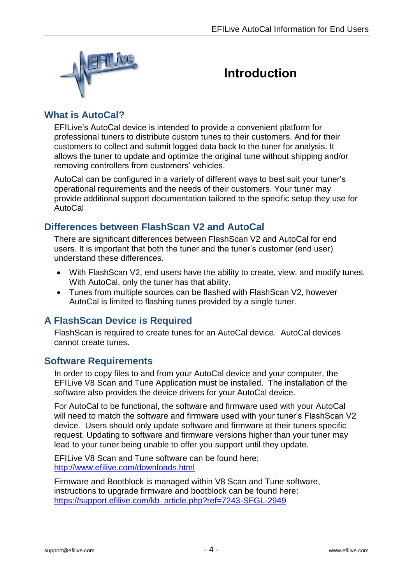<span id="page-5-0"></span>

# <span id="page-5-1"></span>**Introduction**

## <span id="page-5-2"></span>**What is AutoCal?**

EFILive's AutoCal device is intended to provide a convenient platform for professional tuners to distribute custom tunes to their customers. And for their customers to collect and submit logged data back to the tuner for analysis. It allows the tuner to update and optimize the original tune without shipping and/or removing controllers from customers' vehicles.

AutoCal can be configured in a variety of different ways to best suit your tuner's operational requirements and the needs of their customers. Your tuner may provide additional support documentation tailored to the specific setup they use for AutoCal

## <span id="page-5-3"></span>**Differences between FlashScan V2 and AutoCal**

There are significant differences between FlashScan V2 and AutoCal for end users. It is important that both the tuner and the tuner's customer (end user) understand these differences.

- With FlashScan V2, end users have the ability to create, view, and modify tunes. With AutoCal, only the tuner has that ability.
- Tunes from multiple sources can be flashed with FlashScan V2, however AutoCal is limited to flashing tunes provided by a single tuner.

# <span id="page-5-4"></span>**A FlashScan Device is Required**

FlashScan is required to create tunes for an AutoCal device. AutoCal devices cannot create tunes.

#### <span id="page-5-5"></span>**Software Requirements**

In order to copy files to and from your AutoCal device and your computer, the EFILive V8 Scan and Tune Application must be installed. The installation of the software also provides the device drivers for your AutoCal device.

For AutoCal to be functional, the software and firmware used with your AutoCal will need to match the software and firmware used with your tuner's FlashScan V2 device. Users should only update software and firmware at their tuners specific request. Updating to software and firmware versions higher than your tuner may lead to your tuner being unable to offer you support until they update.

EFILive V8 Scan and Tune software can be found here: <http://www.efilive.com/downloads.html>

Firmware and Bootblock is managed within V8 Scan and Tune software, instructions to upgrade firmware and bootblock can be found here: [https://support.efilive.com/kb\\_article.php?ref=7243-SFGL-2949](https://support.efilive.com/kb_article.php?ref=7243-SFGL-2949)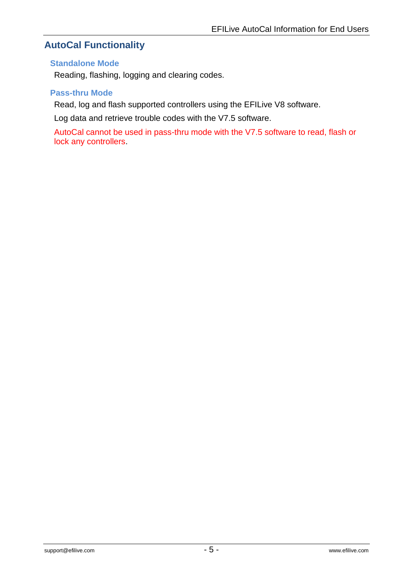# <span id="page-6-0"></span>**AutoCal Functionality**

#### <span id="page-6-1"></span>**Standalone Mode**

Reading, flashing, logging and clearing codes.

#### <span id="page-6-2"></span>**Pass-thru Mode**

Read, log and flash supported controllers using the EFILive V8 software.

Log data and retrieve trouble codes with the V7.5 software.

AutoCal cannot be used in pass-thru mode with the V7.5 software to read, flash or lock any controllers.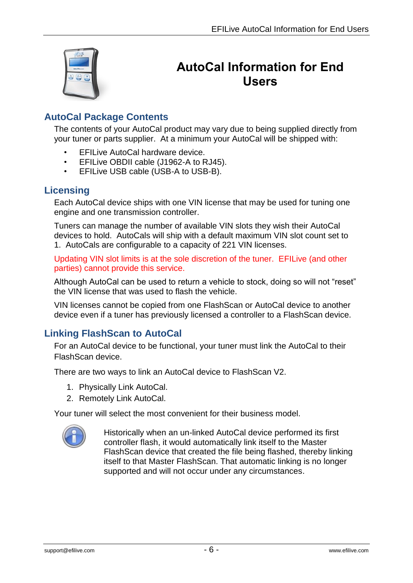<span id="page-7-0"></span>

# <span id="page-7-1"></span>**AutoCal Information for End Users**

# <span id="page-7-2"></span>**AutoCal Package Contents**

The contents of your AutoCal product may vary due to being supplied directly from your tuner or parts supplier. At a minimum your AutoCal will be shipped with:

- EFILive AutoCal hardware device.
- EFILive OBDII cable (J1962-A to RJ45).
- EFILive USB cable (USB-A to USB-B).

# <span id="page-7-3"></span>**Licensing**

Each AutoCal device ships with one VIN license that may be used for tuning one engine and one transmission controller.

Tuners can manage the number of available VIN slots they wish their AutoCal devices to hold. AutoCals will ship with a default maximum VIN slot count set to 1. AutoCals are configurable to a capacity of 221 VIN licenses.

Updating VIN slot limits is at the sole discretion of the tuner. EFILive (and other parties) cannot provide this service.

Although AutoCal can be used to return a vehicle to stock, doing so will not "reset" the VIN license that was used to flash the vehicle.

VIN licenses cannot be copied from one FlashScan or AutoCal device to another device even if a tuner has previously licensed a controller to a FlashScan device.

# <span id="page-7-4"></span>**Linking FlashScan to AutoCal**

For an AutoCal device to be functional, your tuner must link the AutoCal to their FlashScan device.

There are two ways to link an AutoCal device to FlashScan V2.

- 1. Physically Link AutoCal.
- 2. Remotely Link AutoCal.

Your tuner will select the most convenient for their business model.



Historically when an un-linked AutoCal device performed its first controller flash, it would automatically link itself to the Master FlashScan device that created the file being flashed, thereby linking itself to that Master FlashScan. That automatic linking is no longer supported and will not occur under any circumstances.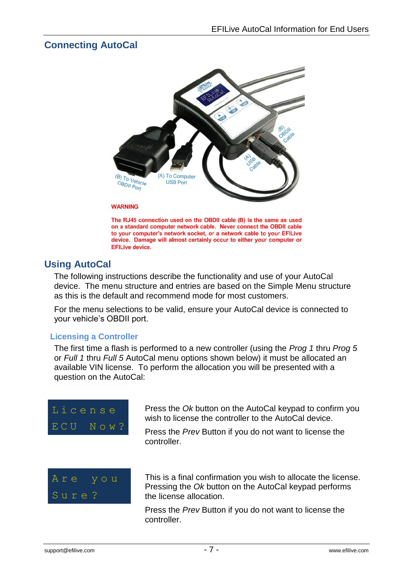## <span id="page-8-0"></span>**Connecting AutoCal**



The RJ45 connection used on the OBDII cable (B) is the same as used on a standard computer network cable. Never connect the OBDII cable to your computer's network socket, or a network cable to your EFILive device. Damage will almost certainly occur to either your computer or **EFILive device.** 

## <span id="page-8-1"></span>**Using AutoCal**

The following instructions describe the functionality and use of your AutoCal device. The menu structure and entries are based on the Simple Menu structure as this is the default and recommend mode for most customers.

For the menu selections to be valid, ensure your AutoCal device is connected to your vehicle's OBDII port.

#### <span id="page-8-2"></span>**Licensing a Controller**

The first time a flash is performed to a new controller (using the *Prog 1* thru *Prog 5* or *Full 1* thru *Full 5* AutoCal menu options shown below) it must be allocated an available VIN license. To perform the allocation you will be presented with a question on the AutoCal:



Press the *Ok* button on the AutoCal keypad to confirm you wish to license the controller to the AutoCal device.

Press the *Prev* Button if you do not want to license the controller.



This is a final confirmation you wish to allocate the license. Pressing the *Ok* button on the AutoCal keypad performs the license allocation.

Press the *Prev* Button if you do not want to license the controller.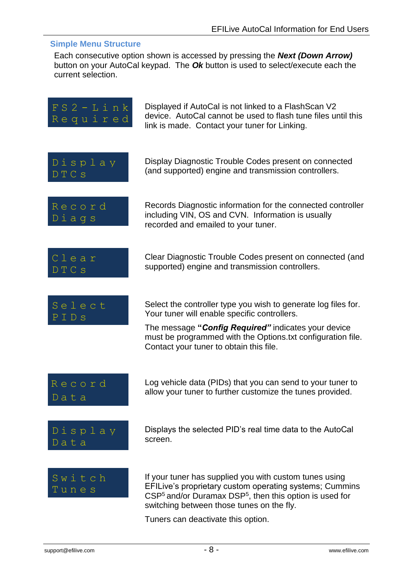#### <span id="page-9-0"></span>**Simple Menu Structure**

Each consecutive option shown is accessed by pressing the *Next (Down Arrow)* button on your AutoCal keypad. The *Ok* button is used to select/execute each the current selection.



Tuners can deactivate this option.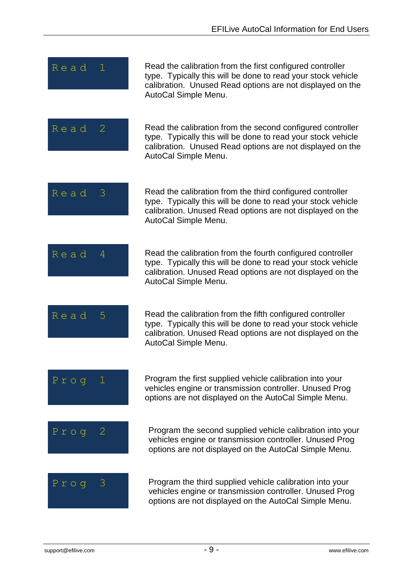| Read      | Read the calibration from the first configured controller<br>type. Typically this will be done to read your stock vehicle<br>calibration. Unused Read options are not displayed on the<br>AutoCal Simple Menu.  |
|-----------|-----------------------------------------------------------------------------------------------------------------------------------------------------------------------------------------------------------------|
| Read<br>2 | Read the calibration from the second configured controller<br>type. Typically this will be done to read your stock vehicle<br>calibration. Unused Read options are not displayed on the<br>AutoCal Simple Menu. |
| Read<br>3 | Read the calibration from the third configured controller<br>type. Typically this will be done to read your stock vehicle<br>calibration. Unused Read options are not displayed on the<br>AutoCal Simple Menu.  |
| Read<br>4 | Read the calibration from the fourth configured controller<br>type. Typically this will be done to read your stock vehicle<br>calibration. Unused Read options are not displayed on the<br>AutoCal Simple Menu. |
| Read<br>5 | Read the calibration from the fifth configured controller<br>type. Typically this will be done to read your stock vehicle<br>calibration. Unused Read options are not displayed on the<br>AutoCal Simple Menu.  |
| $P$ roq   | Program the first supplied vehicle calibration into your<br>vehicles engine or transmission controller. Unused Prog<br>options are not displayed on the AutoCal Simple Menu.                                    |
| $P$ roq   | Program the second supplied vehicle calibration into your<br>vehicles engine or transmission controller. Unused Prog<br>options are not displayed on the AutoCal Simple Menu.                                   |
| $P$ roq   | Program the third supplied vehicle calibration into your<br>vehicles engine or transmission controller. Unused Prog<br>options are not displayed on the AutoCal Simple Menu.                                    |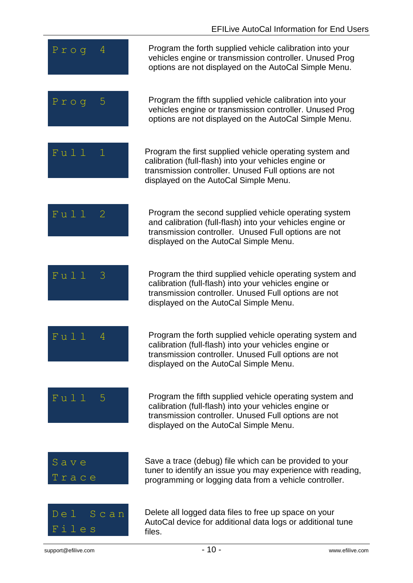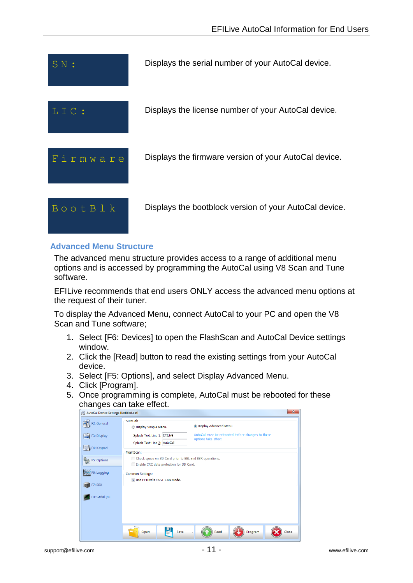

#### <span id="page-12-0"></span>**Advanced Menu Structure**

The advanced menu structure provides access to a range of additional menu options and is accessed by programming the AutoCal using V8 Scan and Tune software.

EFILive recommends that end users ONLY access the advanced menu options at the request of their tuner.

To display the Advanced Menu, connect AutoCal to your PC and open the V8 Scan and Tune software;

- 1. Select [F6: Devices] to open the FlashScan and AutoCal Device settings window.
- 2. Click the [Read] button to read the existing settings from your AutoCal device.
- 3. Select [F5: Options], and select Display Advanced Menu.
- 4. Click [Program].
- 5. Once programming is complete, AutoCal must be rebooted for these changes can take effect.

| $\mathbf{x}$<br>AutoCal Device Settings [Untitled.dat] |                                                                                                    |                                                                          |
|--------------------------------------------------------|----------------------------------------------------------------------------------------------------|--------------------------------------------------------------------------|
| F2: General                                            | AutoCal:<br><b>Display Simple Menu.</b>                                                            | · Display Advanced Menu.                                                 |
| F3: Display                                            | Splash Text Line 1: EFILive<br>Splash Text Line 2: AutoCal                                         | AutoCal must be rebooted before changes to these<br>options take effect. |
| F4: Keypad                                             | FlashScan:                                                                                         |                                                                          |
| <sup>味</sup> F5: Options                               | Check space on SD Card prior to BBL and BBR operations.<br>Enable CRC data protection for SD Card. |                                                                          |
| F6: Logging                                            | Common Settings:<br>V Use EFILive's FAST CAN Mode.                                                 |                                                                          |
| F7: BBX                                                |                                                                                                    |                                                                          |
| F8: Serial I/O                                         |                                                                                                    |                                                                          |
|                                                        |                                                                                                    |                                                                          |
|                                                        | Save<br>Open                                                                                       | Close<br>Read<br>Program                                                 |
|                                                        |                                                                                                    |                                                                          |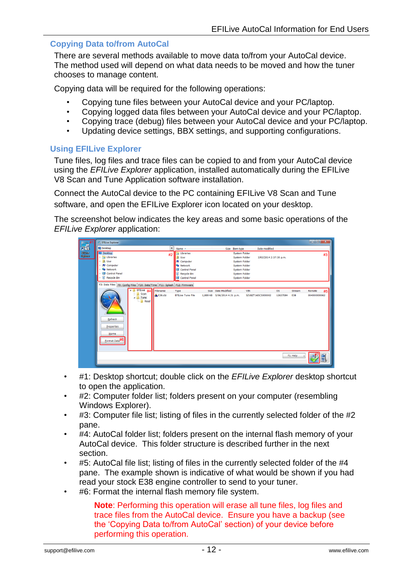#### <span id="page-13-0"></span>**Copying Data to/from AutoCal**

There are several methods available to move data to/from your AutoCal device. The method used will depend on what data needs to be moved and how the tuner chooses to manage content.

Copying data will be required for the following operations:

- Copying tune files between your AutoCal device and your PC/laptop.
- Copying logged data files between your AutoCal device and your PC/laptop.
- Copying trace (debug) files between your AutoCal device and your PC/laptop.
- Updating device settings, BBX settings, and supporting configurations.

#### <span id="page-13-1"></span>**Using EFILive Explorer**

Tune files, log files and trace files can be copied to and from your AutoCal device using the *EFILive Explorer* application, installed automatically during the EFILive V8 Scan and Tune Application software installation.

Connect the AutoCal device to the PC containing EFILive V8 Scan and Tune software, and open the EFILive Explorer icon located on your desktop.

The screenshot below indicates the key areas and some basic operations of the *EFILive Explorer* application:



- #1: Desktop shortcut; double click on the *EFILive Explorer* desktop shortcut to open the application.
- #2: Computer folder list; folders present on your computer (resembling Windows Explorer).
- #3: Computer file list; listing of files in the currently selected folder of the #2 pane.
- #4: AutoCal folder list; folders present on the internal flash memory of your AutoCal device. This folder structure is described further in the next section.
- #5: AutoCal file list; listing of files in the currently selected folder of the #4 pane. The example shown is indicative of what would be shown if you had read your stock E38 engine controller to send to your tuner.
- #6: Format the internal flash memory file system.

**Note**: Performing this operation will erase all tune files, log files and trace files from the AutoCal device. Ensure you have a backup (see the 'Copying Data to/from AutoCal' section) of your device before performing this operation.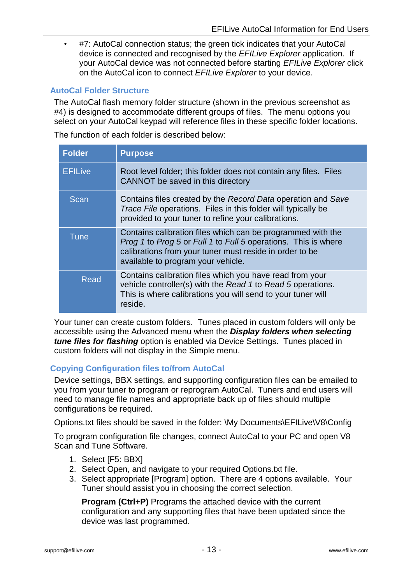• #7: AutoCal connection status; the green tick indicates that your AutoCal device is connected and recognised by the *EFILive Explorer* application. If your AutoCal device was not connected before starting *EFILive Explorer* click on the AutoCal icon to connect *EFILive Explorer* to your device.

#### <span id="page-14-0"></span>**AutoCal Folder Structure**

The AutoCal flash memory folder structure (shown in the previous screenshot as #4) is designed to accommodate different groups of files. The menu options you select on your AutoCal keypad will reference files in these specific folder locations.

The function of each folder is described below:

| <b>Folder</b>  | <b>Purpose</b>                                                                                                                                                                                                                 |
|----------------|--------------------------------------------------------------------------------------------------------------------------------------------------------------------------------------------------------------------------------|
| <b>EFILive</b> | Root level folder; this folder does not contain any files. Files<br>CANNOT be saved in this directory                                                                                                                          |
| Scan           | Contains files created by the Record Data operation and Save<br>Trace File operations. Files in this folder will typically be<br>provided to your tuner to refine your calibrations.                                           |
| <b>Tune</b>    | Contains calibration files which can be programmed with the<br>Prog 1 to Prog 5 or Full 1 to Full 5 operations. This is where<br>calibrations from your tuner must reside in order to be<br>available to program your vehicle. |
| <b>Read</b>    | Contains calibration files which you have read from your<br>vehicle controller(s) with the Read 1 to Read 5 operations.<br>This is where calibrations you will send to your tuner will<br>reside.                              |

Your tuner can create custom folders. Tunes placed in custom folders will only be accessible using the Advanced menu when the *Display folders when selecting tune files for flashing* option is enabled via Device Settings. Tunes placed in custom folders will not display in the Simple menu.

#### <span id="page-14-1"></span>**Copying Configuration files to/from AutoCal**

Device settings, BBX settings, and supporting configuration files can be emailed to you from your tuner to program or reprogram AutoCal. Tuners and end users will need to manage file names and appropriate back up of files should multiple configurations be required.

Options.txt files should be saved in the folder: \My Documents\EFILive\V8\Config

To program configuration file changes, connect AutoCal to your PC and open V8 Scan and Tune Software.

- 1. Select [F5: BBX]
- 2. Select Open, and navigate to your required Options.txt file.
- 3. Select appropriate [Program] option. There are 4 options available. Your Tuner should assist you in choosing the correct selection.

**Program (Ctrl+P)** Programs the attached device with the current configuration and any supporting files that have been updated since the device was last programmed.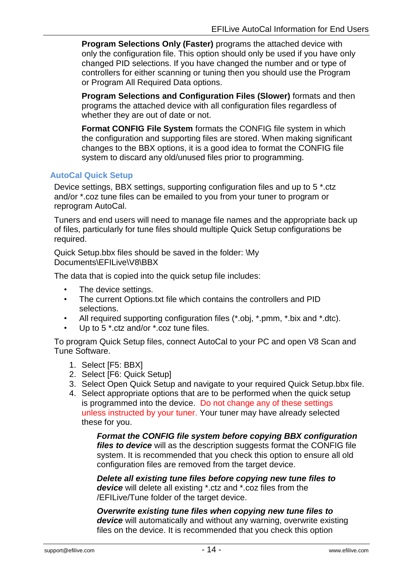**Program Selections Only (Faster)** programs the attached device with only the configuration file. This option should only be used if you have only changed PID selections. If you have changed the number and or type of controllers for either scanning or tuning then you should use the Program or Program All Required Data options.

**Program Selections and Configuration Files (Slower)** formats and then programs the attached device with all configuration files regardless of whether they are out of date or not.

**Format CONFIG File System** formats the CONFIG file system in which the configuration and supporting files are stored. When making significant changes to the BBX options, it is a good idea to format the CONFIG file system to discard any old/unused files prior to programming.

#### <span id="page-15-0"></span>**AutoCal Quick Setup**

Device settings, BBX settings, supporting configuration files and up to 5 \*.ctz and/or \*.coz tune files can be emailed to you from your tuner to program or reprogram AutoCal.

Tuners and end users will need to manage file names and the appropriate back up of files, particularly for tune files should multiple Quick Setup configurations be required.

Quick Setup.bbx files should be saved in the folder: \My Documents\EFILive\V8\BBX

The data that is copied into the quick setup file includes:

- The device settings.
- The current Options.txt file which contains the controllers and PID selections.
- All required supporting configuration files (\*.obj, \*.pmm, \*.bix and \*.dtc).
- Up to 5 \*.ctz and/or \*.coz tune files.

To program Quick Setup files, connect AutoCal to your PC and open V8 Scan and Tune Software.

- 1. Select [F5: BBX]
- 2. Select [F6: Quick Setup]
- 3. Select Open Quick Setup and navigate to your required Quick Setup.bbx file.
- 4. Select appropriate options that are to be performed when the quick setup is programmed into the device. Do not change any of these settings unless instructed by your tuner. Your tuner may have already selected these for you.

*Format the CONFIG file system before copying BBX configuration files to device* will as the description suggests format the CONFIG file system. It is recommended that you check this option to ensure all old configuration files are removed from the target device.

*Delete all existing tune files before copying new tune files to device* will delete all existing \*.ctz and \*.coz files from the /EFILive/Tune folder of the target device.

*Overwrite existing tune files when copying new tune files to device* will automatically and without any warning, overwrite existing files on the device. It is recommended that you check this option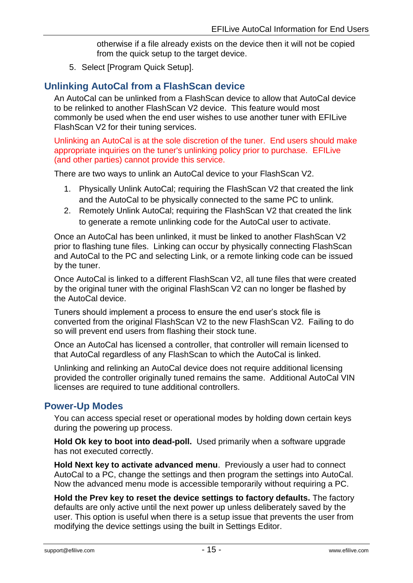otherwise if a file already exists on the device then it will not be copied from the quick setup to the target device.

5. Select [Program Quick Setup].

#### <span id="page-16-0"></span>**Unlinking AutoCal from a FlashScan device**

An AutoCal can be unlinked from a FlashScan device to allow that AutoCal device to be relinked to another FlashScan V2 device. This feature would most commonly be used when the end user wishes to use another tuner with EFILive FlashScan V2 for their tuning services.

Unlinking an AutoCal is at the sole discretion of the tuner. End users should make appropriate inquiries on the tuner's unlinking policy prior to purchase. EFILive (and other parties) cannot provide this service.

There are two ways to unlink an AutoCal device to your FlashScan V2.

- 1. Physically Unlink AutoCal; requiring the FlashScan V2 that created the link and the AutoCal to be physically connected to the same PC to unlink.
- 2. Remotely Unlink AutoCal; requiring the FlashScan V2 that created the link to generate a remote unlinking code for the AutoCal user to activate.

Once an AutoCal has been unlinked, it must be linked to another FlashScan V2 prior to flashing tune files. Linking can occur by physically connecting FlashScan and AutoCal to the PC and selecting Link, or a remote linking code can be issued by the tuner.

Once AutoCal is linked to a different FlashScan V2, all tune files that were created by the original tuner with the original FlashScan V2 can no longer be flashed by the AutoCal device.

Tuners should implement a process to ensure the end user's stock file is converted from the original FlashScan V2 to the new FlashScan V2. Failing to do so will prevent end users from flashing their stock tune.

Once an AutoCal has licensed a controller, that controller will remain licensed to that AutoCal regardless of any FlashScan to which the AutoCal is linked.

Unlinking and relinking an AutoCal device does not require additional licensing provided the controller originally tuned remains the same. Additional AutoCal VIN licenses are required to tune additional controllers.

#### <span id="page-16-1"></span>**Power-Up Modes**

You can access special reset or operational modes by holding down certain keys during the powering up process.

**Hold Ok key to boot into dead-poll.** Used primarily when a software upgrade has not executed correctly.

**Hold Next key to activate advanced menu**. Previously a user had to connect AutoCal to a PC, change the settings and then program the settings into AutoCal. Now the advanced menu mode is accessible temporarily without requiring a PC.

**Hold the Prev key to reset the device settings to factory defaults.** The factory defaults are only active until the next power up unless deliberately saved by the user. This option is useful when there is a setup issue that prevents the user from modifying the device settings using the built in Settings Editor.